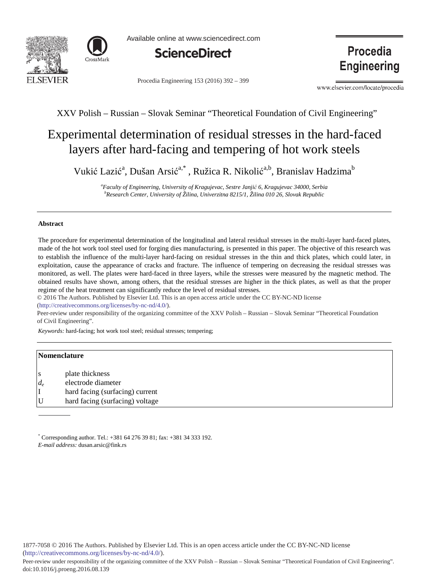



Available online at www.sciencedirect.com



Procedia Engineering 153 (2016) 392 - 399

Procedia **Engineering** 

www.elsevier.com/locate/procedia

# XXV Polish – Russian – Slovak Seminar "Theoretical Foundation of Civil Engineering"

# Experimental determination of residual stresses in the hard-faced layers after hard-facing and tempering of hot work steels

Vukić Lazić<sup>a</sup>, Dušan Arsić<sup>a,\*</sup>, Ružica R. Nikolić<sup>a,b</sup>, Branislav Hadzima<sup>b</sup>

*a Faculty of Engineering, University of Kragujevac, Sestre Janjiü 6, Kragujevac 34000, Serbia b Research Center, University of Žilina, Univerzitna 8215/1, Žilina 010 26, Slovak Republic* 

# **Abstract**

The procedure for experimental determination of the longitudinal and lateral residual stresses in the multi-layer hard-faced plates, made of the hot work tool steel used for forging dies manufacturing, is presented in this paper. The objective of this research was to establish the influence of the multi-layer hard-facing on residual stresses in the thin and thick plates, which could later, in exploitation, cause the appearance of cracks and fracture. The influence of tempering on decreasing the residual stresses was monitored, as well. The plates were hard-faced in three layers, while the stresses were measured by the magnetic method. The obtained results have shown, among others, that the residual stresses are higher in the thick plates, as well as that the proper regime of the heat treatment can significantly reduce the level of residual stresses.

© 2016 The Authors. Published by Elsevier Ltd. © 2016 The Authors. Published by Elsevier Ltd. This is an open access article under the CC BY-NC-ND license (http://creativecommons.org/licenses/by-nc-nd/4.0/).

Peer-review under responsibility of the organizing committee of the XXV Polish – Russian – Slovak Seminar "Theoretical Foundation of Civil Engineering".

*Keywords:* hard-facing; hot work tool steel; residual stresses; tempering;

## **Nomenclature**

- s plate thickness
- *de* electrode diameter
- I hard facing (surfacing) current
- U hard facing (surfacing) voltage

\* Corresponding author. Tel.: +381 64 276 39 81; fax: +381 34 333 192. *E-mail address:* dusan.arsic@fink.rs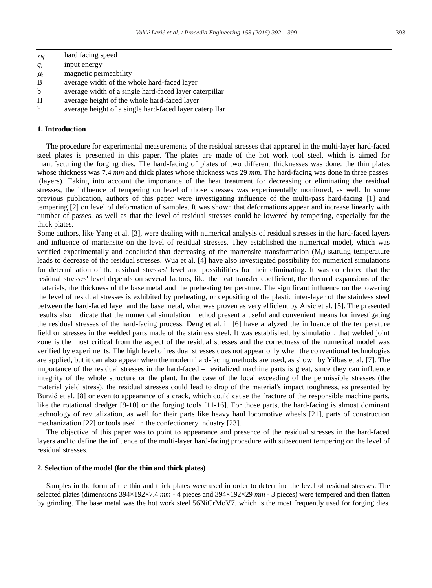|                  | hard facing speed                                       |
|------------------|---------------------------------------------------------|
| $v_{hf}$ $q_{l}$ | input energy                                            |
| $\mu_{\rm r}$    | magnetic permeability                                   |
| $\mathbf{B}$     | average width of the whole hard-faced layer             |
| b                | average width of a single hard-faced layer caterpillar  |
| H                | average height of the whole hard-faced layer            |
| lh               | average height of a single hard-faced layer caterpillar |

#### **1. Introduction**

The procedure for experimental measurements of the residual stresses that appeared in the multi-layer hard-faced steel plates is presented in this paper. The plates are made of the hot work tool steel, which is aimed for manufacturing the forging dies. The hard-facing of plates of two different thicknesses was done: the thin plates whose thickness was 7.4 *mm* and thick plates whose thickness was 29 *mm*. The hard-facing was done in three passes (layers). Taking into account the importance of the heat treatment for decreasing or eliminating the residual stresses, the influence of tempering on level of those stresses was experimentally monitored, as well. In some previous publication, authors of this paper were investigating influence of the multi-pass hard-facing [1] and tempering [2] on level of deformation of samples. It was shown that deformations appear and increase linearly with number of passes, as well as that the level of residual stresses could be lowered by tempering, especially for the thick plates.

Some authors, like Yang et al. [3], were dealing with numerical analysis of residual stresses in the hard-faced layers and influence of martensite on the level of residual stresses. They established the numerical model, which was verified experimentally and concluded that decreasing of the martensite transformation  $(M_s)$  starting temperature leads to decrease of the residual stresses. Wua et al. [4] have also investigated possibility for numerical simulations for determination of the residual stresses' level and possibilities for their eliminating. It was concluded that the residual stresses' level depends on several factors, like the heat transfer coefficient, the thermal expansions of the materials, the thickness of the base metal and the preheating temperature. The significant influence on the lowering the level of residual stresses is exhibited by preheating, or depositing of the plastic inter-layer of the stainless steel between the hard-faced layer and the base metal, what was proven as very efficient by Arsic et al. [5]. The presented results also indicate that the numerical simulation method present a useful and convenient means for investigating the residual stresses of the hard-facing process. Deng et al. in [6] have analyzed the influence of the temperature field on stresses in the welded parts made of the stainless steel. It was established, by simulation, that welded joint zone is the most critical from the aspect of the residual stresses and the correctness of the numerical model was verified by experiments. The high level of residual stresses does not appear only when the conventional technologies are applied, but it can also appear when the modern hard-facing methods are used, as shown by Yilbas et al. [7]. The importance of the residual stresses in the hard-faced – revitalized machine parts is great, since they can influence integrity of the whole structure or the plant. In the case of the local exceeding of the permissible stresses (the material yield stress), the residual stresses could lead to drop of the material's impact toughness, as presented by Burzić et al. [8] or even to appearance of a crack, which could cause the fracture of the responsible machine parts, like the rotational dredger [9-10] or the forging tools [11-16]. For those parts, the hard-facing is almost dominant technology of revitalization, as well for their parts like heavy haul locomotive wheels [21], parts of construction mechanization [22] or tools used in the confectionery industry [23].

The objective of this paper was to point to appearance and presence of the residual stresses in the hard-faced layers and to define the influence of the multi-layer hard-facing procedure with subsequent tempering on the level of residual stresses.

# **2. Selection of the model (for the thin and thick plates)**

Samples in the form of the thin and thick plates were used in order to determine the level of residual stresses. The selected plates (dimensions 394×192×7.4 *mm* - 4 pieces and 394×192×29 *mm* - 3 pieces) were tempered and then flatten by grinding. The base metal was the hot work steel 56NiCrMoV7, which is the most frequently used for forging dies.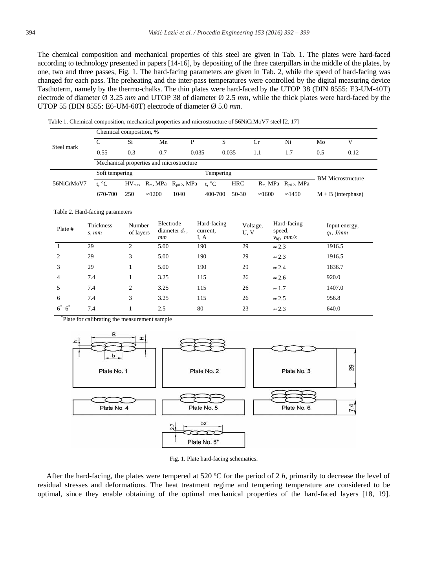The chemical composition and mechanical properties of this steel are given in Tab. 1. The plates were hard-faced according to technology presented in papers [14-16], by depositing of the three caterpillars in the middle of the plates, by one, two and three passes, Fig. 1. The hard-facing parameters are given in Tab. 2, while the speed of hard-facing was changed for each pass. The preheating and the inter-pass temperatures were controlled by the digital measuring device Tasthoterm, namely by the thermo-chalks. The thin plates were hard-faced by the UTOP 38 (DIN 8555: E3-UM-40T) electrode of diameter Ø 3.25 *mm* and UTOP 38 of diameter Ø 2.5 *mm*, while the thick plates were hard-faced by the UTOP 55 (DIN 8555: E6-UM-60T) electrode of diameter Ø 5.0 *mm.* 

|            | Chemical composition, %     |     |                |                                                         |                |         |                          |                            |                      |      |
|------------|-----------------------------|-----|----------------|---------------------------------------------------------|----------------|---------|--------------------------|----------------------------|----------------------|------|
| Steel mark | C                           | Si  | Mn             |                                                         |                |         | Сr                       | Ni                         | Mo                   |      |
|            | 0.55                        | 0.3 | 0.7            | 0.035                                                   |                | 0.035   | 1.1                      | 1.7                        | 0.5                  | 0.12 |
|            |                             |     |                | Mechanical properties and microstructure                |                |         |                          |                            |                      |      |
|            | Soft tempering<br>Tempering |     |                |                                                         |                |         | <b>BM</b> Microstructure |                            |                      |      |
| 56NiCrMoV7 | t. $^{\circ}C$              |     |                | $HV_{max}$ R <sub>m</sub> , MPa R <sub>p0.2</sub> , MPa | t. $^{\circ}C$ | HRC     |                          | $R_m$ MPa $R_{p0.2}$ , MPa |                      |      |
|            | 670-700                     | 250 | $\approx$ 1200 | 1040                                                    | 400-700        | $50-30$ | $\approx$ 1600           | $\approx$ 1450             | $M + B$ (interphase) |      |

Table 1. Chemical composition, mechanical properties and microstructure of 56NiCrMoV7 steel [2, 17]

Table 2. Hard-facing parameters

| Plate #        | Thickness<br>s, mm | Number<br>of layers | Electrode<br>diameter $d_e$ ,<br>mm | Hard-facing<br>current,<br>I, A | Voltage,<br>U.V | Hard-facing<br>speed,<br>$v_{hf}$ , mm/s | Input energy,<br>$q_l$ , J/mm |
|----------------|--------------------|---------------------|-------------------------------------|---------------------------------|-----------------|------------------------------------------|-------------------------------|
|                | 29                 | 2                   | 5.00                                | 190                             | 29              | $\approx 2.3$                            | 1916.5                        |
| 2              | 29                 | 3                   | 5.00                                | 190                             | 29              | $\approx 2.3$                            | 1916.5                        |
| 3              | 29                 |                     | 5.00                                | 190                             | 29              | $\approx 2.4$                            | 1836.7                        |
| $\overline{4}$ | 7.4                |                     | 3.25                                | 115                             | 26              | $\approx 2.6$                            | 920.0                         |
| 5              | 7.4                | 2                   | 3.25                                | 115                             | 26              | $\approx 1.7$                            | 1407.0                        |
| 6              | 7.4                | 3                   | 3.25                                | 115                             | 26              | $\approx 2.5$                            | 956.8                         |
| $6^*$ = $6^*$  | 7.4                |                     | 2.5                                 | 80                              | 23              | $\approx 2.3$                            | 640.0                         |

\* Plate for calibrating the measurement sample



Fig. 1. Plate hard-facing schematics.

After the hard-facing, the plates were tempered at 520 ºC for the period of 2 *h*, primarily to decrease the level of residual stresses and deformations. The heat treatment regime and tempering temperature are considered to be optimal, since they enable obtaining of the optimal mechanical properties of the hard-faced layers [18, 19].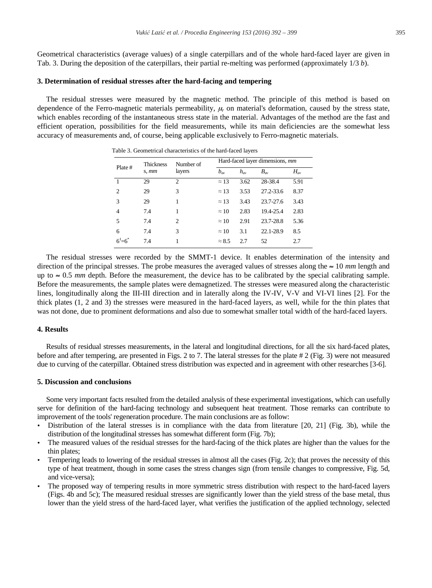Geometrical characteristics (average values) of a single caterpillars and of the whole hard-faced layer are given in Tab. 3. During the deposition of the caterpillars, their partial re-melting was performed (approximately 1/3 *b*).

#### **3. Determination of residual stresses after the hard-facing and tempering**

The residual stresses were measured by the magnetic method. The principle of this method is based on dependence of the Ferro-magnetic materials permeability,  $\mu_r$  on material's deformation, caused by the stress state, which enables recording of the instantaneous stress state in the material. Advantages of the method are the fast and efficient operation, possibilities for the field measurements, while its main deficiencies are the somewhat less accuracy of measurements and, of course, being applicable exclusively to Ferro-magnetic materials.

|                 | <b>Thickness</b> | Number of      | Hard-faced layer dimensions, mm |          |              |          |  |  |
|-----------------|------------------|----------------|---------------------------------|----------|--------------|----------|--|--|
| Plate #         | s, mm            | layers         | $b_{\infty}$                    | $h_{av}$ | $B_{\infty}$ | $H_{av}$ |  |  |
| 1               | 29               | $\mathfrak{D}$ | $\approx$ 13                    | 3.62     | 28-38.4      | 5.91     |  |  |
| $\mathfrak{D}$  | 29               | 3              | $\approx$ 13                    | 3.53     | 27.2-33.6    | 8.37     |  |  |
| 3               | 29               | 1              | $\approx$ 13                    | 3.43     | 23.7-27.6    | 3.43     |  |  |
| 4               | 7.4              | 1              | $\approx$ 10                    | 2.83     | 19.4-25.4    | 2.83     |  |  |
| 5               | 7.4              | $\mathfrak{D}$ | $\approx$ 10                    | 2.91     | 23.7-28.8    | 5.36     |  |  |
| 6               | 7.4              | 3              | $\approx$ 10                    | 3.1      | 22.1-28.9    | 8.5      |  |  |
| $6^{1} = 6^{*}$ | 7.4              |                | $\approx 8.5$                   | 2.7      | 52           | 2.7      |  |  |

Table 3. Geometrical characteristics of the hard-faced layers

The residual stresses were recorded by the SMMT-1 device. It enables determination of the intensity and direction of the principal stresses. The probe measures the averaged values of stresses along the  $\approx 10$  *mm* length and up to  $\approx 0.5$  *mm* depth. Before the measurement, the device has to be calibrated by the special calibrating sample. Before the measurements, the sample plates were demagnetized. The stresses were measured along the characteristic lines, longitudinally along the III-III direction and in laterally along the IV-IV, V-V and VI-VI lines [2]. For the thick plates (1, 2 and 3) the stresses were measured in the hard-faced layers, as well, while for the thin plates that was not done, due to prominent deformations and also due to somewhat smaller total width of the hard-faced layers.

#### **4. Results**

Results of residual stresses measurements, in the lateral and longitudinal directions, for all the six hard-faced plates, before and after tempering, are presented in Figs. 2 to 7. The lateral stresses for the plate # 2 (Fig. 3) were not measured due to curving of the caterpillar. Obtained stress distribution was expected and in agreement with other researches [3-6].

## **5. Discussion and conclusions**

Some very important facts resulted from the detailed analysis of these experimental investigations, which can usefully serve for definition of the hard-facing technology and subsequent heat treatment. Those remarks can contribute to improvement of the tools' regeneration procedure. The main conclusions are as follow:

- Distribution of the lateral stresses is in compliance with the data from literature [20, 21] (Fig. 3b), while the distribution of the longitudinal stresses has somewhat different form (Fig. 7b);
- x The measured values of the residual stresses for the hard-facing of the thick plates are higher than the values for the thin plates;
- Tempering leads to lowering of the residual stresses in almost all the cases (Fig. 2c); that proves the necessity of this type of heat treatment, though in some cases the stress changes sign (from tensile changes to compressive, Fig. 5d, and vice-versa);
- x The proposed way of tempering results in more symmetric stress distribution with respect to the hard-faced layers (Figs. 4b and 5c); The measured residual stresses are significantly lower than the yield stress of the base metal, thus lower than the yield stress of the hard-faced layer, what verifies the justification of the applied technology, selected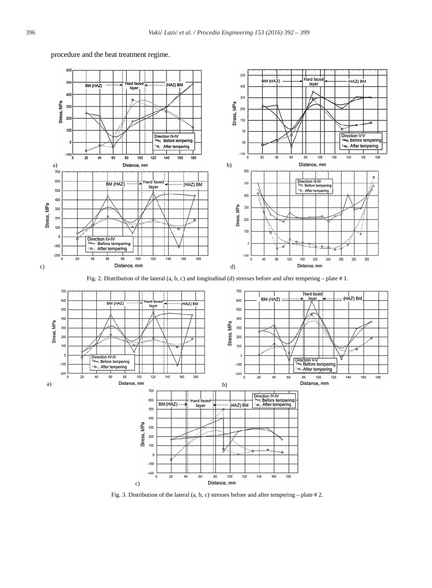

# procedure and the heat treatment regime.





Fig. 3. Distribution of the lateral (a, b, c) stresses before and after tempering – plate # 2.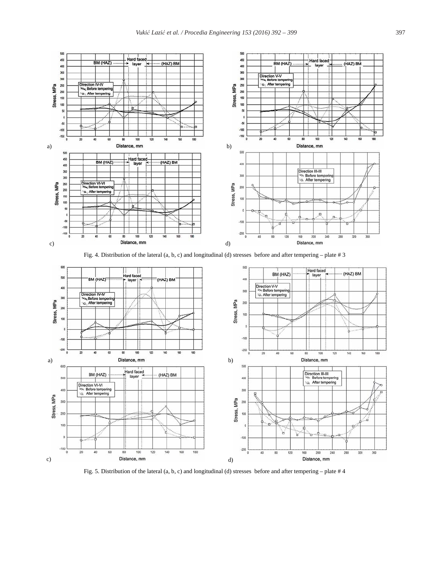

Fig. 5. Distribution of the lateral (a, b, c) and longitudinal (d) stresses before and after tempering – plate # 4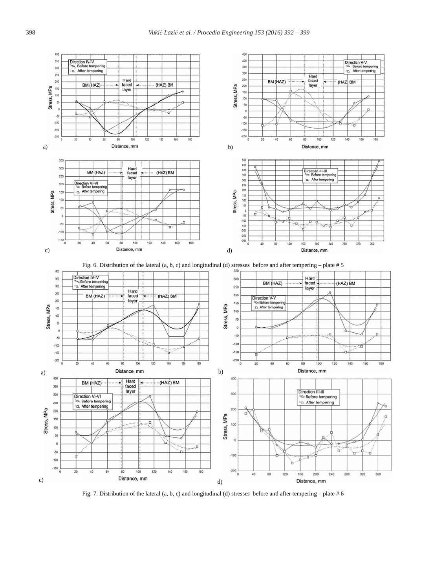

Fig. 7. Distribution of the lateral (a, b, c) and longitudinal (d) stresses before and after tempering – plate # 6